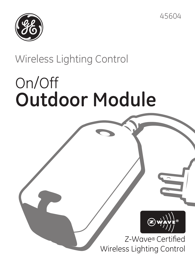



## Wireless Lighting Control

# On/Off **Outdoor Module**

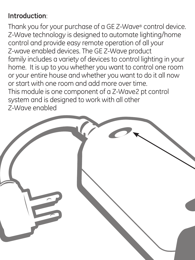#### **Introduction**:

Thank you for your purchase of a GE Z-Wave® control device. Z-Wave technology is designed to automate lighting/home control and provide easy remote operation of all your Z-wave enabled devices. The GE Z-Wave product family includes a variety of devices to control lighting in your home. It is up to you whether you want to control one room or your entire house and whether you want to do it all now or start with one room and add more over time. This module is one component of a Z-Wave2 pt control system and is designed to work with all other Z-Wave enabled

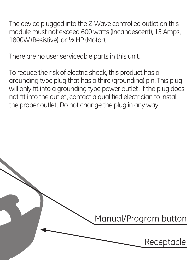The device plugged into the Z-Wave controlled outlet on this module must not exceed 600 watts (Incandescent); 15 Amps, 1800W (Resistive); or ½ HP (Motor).

There are no user serviceable parts in this unit.

To reduce the risk of electric shock, this product has a grounding type plug that has a third (grounding) pin. This plug will only fit into a grounding type power outlet. If the plug does not fit into the outlet, contact a qualified electrician to install the proper outlet. Do not change the plug in any way.

Manual/Program button

Receptacle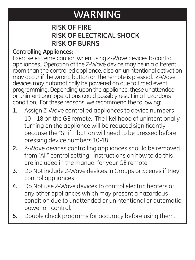## **WARNING**

#### **RISK OF FIRE RISK OF ELECTRICAL SHOCK RISK OF BURNS**

#### **Controlling Appliances:**

Exercise extreme caution when using Z-Wave devices to control appliances. Operation of the Z-Wave device may be in a different room than the controlled appliance, also an unintentional activation may occur if the wrong button on the remote is pressed. Z-Wave devices may automatically be powered on due to timed event programming. Depending upon the appliance, these unattended or unintentional operations could possibly result in a hazardous condition. For these reasons, we recommend the following:

- Assign Z-Wave controlled appliances to device numbers 10 – 18 on the GE remote. The likelihood of unintentionally turning on the appliance will be reduced significantly because the "Shift" button will need to be pressed before pressing device numbers 10-18. **1.**
- Z-Wave devices controlling appliances should be removed from "All" control setting. Instructions on how to do this are included in the manual for your GE remote. **2.**
- Do Not include Z-Wave devices in Groups or Scenes if they control appliances. **3.**
- Do Not use Z-Wave devices to control electric heaters or any other appliances which may present a hazardous condition due to unattended or unintentional or automatic power on control. **4.**
- Double check programs for accuracy before using them. **5.**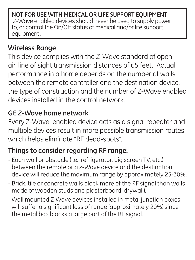**NOT FOR USE WITH MEDICAL OR LIFE SUPPORT EQUIPMENT** Z-Wave enabled devices should never be used to supply power to, or control the On/Off status of medical and/or life support equipment.

#### **Wireless Range**

This device complies with the Z-Wave standard of openair, line of sight transmission distances of 65 feet. Actual performance in a home depends on the number of walls between the remote controller and the destination device, the type of construction and the number of Z-Wave enabled devices installed in the control network.

#### **GE Z-Wave home network**

Every Z-Wave enabled device acts as a signal repeater and multiple devices result in more possible transmission routes which helps eliminate "RF dead-spots".

#### **Things to consider regarding RF range:**

- Each wall or obstacle (i.e.: refrigerator, big screen TV, etc.) between the remote or a Z-Wave device and the destination device will reduce the maximum range by approximately 25-30%.
- Brick, tile or concrete walls block more of the RF signal than walls made of wooden studs and plasterboard (drywall).
- Wall mounted Z-Wave devices installed in metal junction boxes will suffer a significant loss of range (approximately 20%) since the metal box blocks a large part of the RF signal.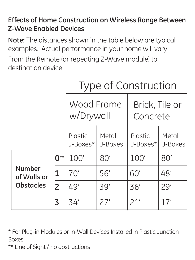#### **Effects of Home Construction on Wireless Range Between Z-Wave Enabled Devices**.

**Note:** The distances shown in the table below are typical examples. Actual performance in your home will vary. From the Remote (or repeating Z-Wave module) to destination device:

|                                           |     | Type of Construction       |                  |                            |                  |
|-------------------------------------------|-----|----------------------------|------------------|----------------------------|------------------|
|                                           |     | Wood Frame<br>w/Drywall    |                  | Brick, Tile or<br>Concrete |                  |
|                                           |     | <b>Plastic</b><br>J-Boxes* | Metal<br>J-Boxes | Plastic<br>J-Boxes*        | Metal<br>J-Boxes |
| Number<br>of Walls or<br><b>Obstacles</b> | 0** | 100'                       | 80'              | 100'                       | 80'              |
|                                           | 1   | 70'                        | 56'              | 60'                        | 48'              |
|                                           | 2   | 49'                        | 39'              | 36'                        | 79'              |
|                                           | 3   | 34'                        | 27'              | 21'                        | 17'              |

\* For Plug-in Modules or In-Wall Devices Installed in Plastic Junction Boxes

\*\* Line of Sight / no obstructions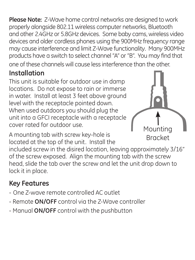**Please Note:** Z-Wave home control networks are designed to work properly alongside 802.11 wireless computer networks, Bluetooth and other 2.4GHz or 5.8GHz devices. Some baby cams, wireless video devices and older cordless phones using the 900MHz frequency range may cause interference and limit Z-Wave functionality. Many 900MHz products have a switch to select channel "A" or "B". You may find that one of these channels will cause less interference than the other.

#### **Installation**

This unit is suitable for outdoor use in damp locations. Do not expose to rain or immerse in water. Install at least 3 feet above ground level with the receptacle pointed down. When used outdoors you should plug the unit into a GFCI receptacle with a receptacle cover rated for outdoor use.

A mounting tab with screw key-hole is located at the top of the unit. Install the



included screw in the disired location, leaving approximately 3/16" of the screw exposed. Align the mounting tab with the screw head, slide the tab over the screw and let the unit drop down to lock it in place.

#### **Key Features**

- One Z-wave remote controlled AC outlet
- Remote **ON/OFF** control via the Z-Wave controller
- Manual **ON/OFF** control with the pushbutton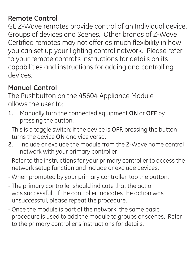#### **Remote Control**

GE Z-Wave remotes provide control of an Individual device, Groups of devices and Scenes. Other brands of Z-Wave Certified remotes may not offer as much flexibility in how you can set up your lighting control network. Please refer to your remote control's instructions for details on its capabilities and instructions for adding and controlling devices.

#### **Manual Control**

The Pushbutton on the 45604 Appliance Module allows the user to:

- 1. Manually turn the connected equipment ON or OFF by pressing the button.
- This is a toggle switch; if the device is **OFF**, pressing the button turns the device **ON** and vice versa.
- **2.** Include or exclude the module from the Z-Wave home control network with your primary controller.
- Refer to the instructions for your primary controller to access the network setup function and include or exclude devices.
- When prompted by your primary controller, tap the button.
- The primary controller should indicate that the action was successful. If the controller indicates the action was unsuccessful, please repeat the procedure.
- Once the module is part of the network, the same basic procedure is used to add the module to groups or scenes. Refer to the primary controller's instructions for details.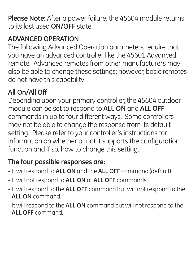**Please Note:** After a power failure, the 45604 module returns to its last used **ON/OFF** state.

#### **ADVANCED OPERATION**

The following Advanced Operation parameters require that you have an advanced controller like the 45601 Advanced remote. Advanced remotes from other manufacturers may also be able to change these settings; however, basic remotes do not have this capability

#### **All On/All Off**

Depending upon your primary controller, the 45604 outdoor module can be set to respond to **ALL ON** and **ALL OFF** commands in up to four different ways. Some controllers may not be able to change the response from its default setting. Please refer to your controller's instructions for information on whether or not it supports the configuration function and if so, how to change this setting.

#### **The four possible responses are:**

- It will respond to **ALL ON** and the **ALL OFF** command (default).
- It will not respond to **ALL ON** or **ALL OFF** commands.
- It will respond to the **ALL OFF** command but will not respond to the **ALL ON** command.
- It will respond to the **ALL ON** command but will not respond to the **ALL OFF** command.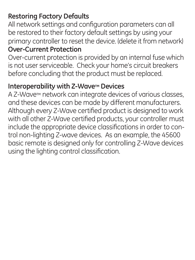#### **Restoring Factory Defaults**

All network settings and configuration parameters can all be restored to their factory default settings by using your primary controller to reset the device. (delete it from network) **Over-Current Protection**

Over-current protection is provided by an internal fuse which is not user serviceable. Check your home's circuit breakers before concluding that the product must be replaced.

#### **Interoperability with Z-Wave™ Devices**

A Z-Wave™ network can integrate devices of various classes, and these devices can be made by different manufacturers. Although every Z-Wave certified product is designed to work with all other Z-Wave certified products, your controller must include the appropriate device classifications in order to control non-lighting Z-wave devices. As an example, the 45600 basic remote is designed only for controlling Z-Wave devices using the lighting control classification.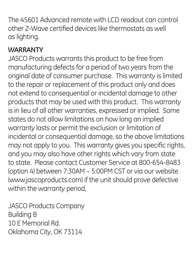The 45601 Advanced remote with LCD readout can control other Z-Wave certified devices like thermostats as well as lighting.

#### **WARRANTY**

JASCO Products warrants this product to be free from manufacturing defects for a period of two years from the original date of consumer purchase. This warranty is limited to the repair or replacement of this product only and does not extend to consequential or incidental damage to other products that may be used with this product. This warranty is in lieu of all other warranties, expressed or implied. Some states do not allow limitations on how long an implied warranty lasts or permit the exclusion or limitation of incidental or consequential damage, so the above limitations may not apply to you. This warranty gives you specific rights, and you may also have other rights which vary from state to state. Please contact Customer Service at 800-654-8483 (option 4) between 7:30AM – 5:00PM CST or via our website (www.jascoproducts.com) if the unit should prove defective within the warranty period,

JASCO Products Company Building B 10 E Memorial Rd. Oklahoma City, OK 73114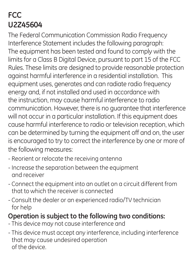### **FCC U2Z45604**

The Federal Communication Commission Radio Frequency Interference Statement includes the following paragraph: The equipment has been tested and found to comply with the limits for a Class B Digital Device, pursuant to part 15 of the FCC Rules. These limits are designed to provide reasonable protection against harmful interference in a residential installation. This equipment uses, generates and can radiate radio frequency energy and, if not installed and used in accordance with the instruction, may cause harmful interference to radio communication. However, there is no guarantee that interference will not occur in a particular installation. If this equipment does cause harmful interference to radio or television reception, which can be determined by turning the equipment off and on, the user is encouraged to try to correct the interference by one or more of the following measures:

- Reorient or relocate the receiving antenna
- Increase the separation between the equipment and receiver
- Connect the equipment into an outlet on a circuit different from that to which the receiver is connected
- Consult the dealer or an experienced radio/TV technician for help

#### **Operation is subject to the following two conditions:**

- This device may not cause interference and
- This device must accept any interference, including interference that may cause undesired operation of the device.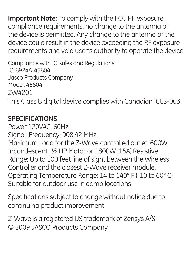**Important Note:** To comply with the FCC RF exposure compliance requirements, no change to the antenna or the device is permitted. Any change to the antenna or the device could result in the device exceeding the RF exposure requirements and void user's authority to operate the device.

Compliance with IC Rules and Regulations IC: 6924A-45604 Jasco Products Company Model: 45604 ZW4201 This Class B digital device complies with Canadian ICES-003.

#### **SPECIFICATIONS**

Power 120VAC, 60Hz Signal (Frequency) 908.42 MHz Maximum Load for the Z-Wave controlled outlet: 600W Incandescent, ½ HP Motor or 1800W (15A) Resistive Range: Up to 100 feet line of sight between the Wireless Controller and the closest Z-Wave receiver module. Operating Temperature Range: 14 to 140° F (-10 to 60° C) Suitable for outdoor use in damp locations

Specifications subject to change without notice due to continuing product improvement

Z-Wave is a registered US trademark of Zensys A/S © 2009 JASCO Products Company